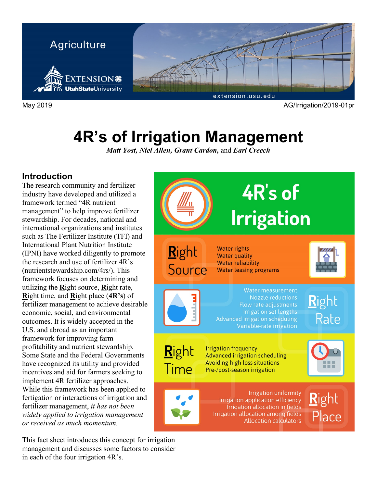

# **4R's of Irrigation Management**

*Matt Yost, Niel Allen, Grant Cardon,* and *Earl Creech*

## **Introduction**

The research community and fertilizer industry have developed and utilized a framework termed "4R nutrient management" to help improve fertilizer stewardship. For decades, national and international organizations and institutes such as The Fertilizer Institute (TFI) and International Plant Nutrition Institute (IPNI) have worked diligently to promote the research and use of fertilizer 4R's (nutrientstewardship.com/4rs/). This framework focuses on determining and utilizing the **R**ight source, **R**ight rate, **R**ight time, and **R**ight place (**4R's**) of fertilizer management to achieve desirable economic, social, and environmental outcomes. It is widely accepted in the U.S. and abroad as an important framework for improving farm profitability and nutrient stewardship. Some State and the Federal Governments have recognized its utility and provided incentives and aid for farmers seeking to implement 4R fertilizer approaches. While this framework has been applied to fertigation or interactions of irrigation and fertilizer management, *it has not been widely applied to irrigation management or received as much momentum.*

This fact sheet introduces this concept for irrigation management and discusses some factors to consider in each of the four irrigation 4R's.

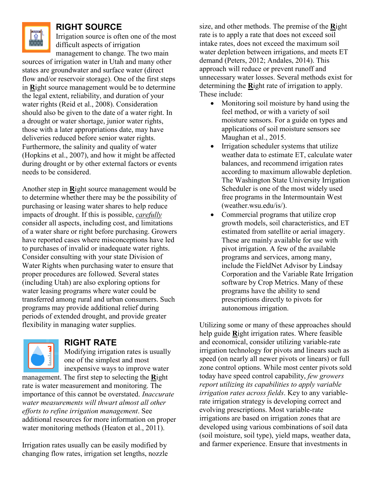

## **RIGHT SOURCE**

Irrigation source is often one of the most difficult aspects of irrigation management to change. The two main

sources of irrigation water in Utah and many other states are groundwater and surface water (direct flow and/or reservoir storage). One of the first steps in **R**ight source management would be to determine the legal extent, reliability, and duration of your water rights (Reid et al., 2008). Consideration should also be given to the date of a water right. In a drought or water shortage, junior water rights, those with a later appropriations date, may have deliveries reduced before senior water rights. Furthermore, the salinity and quality of water (Hopkins et al., 2007), and how it might be affected during drought or by other external factors or events needs to be considered.

Another step in **R**ight source management would be to determine whether there may be the possibility of purchasing or leasing water shares to help reduce impacts of drought. If this is possible, *carefully* consider all aspects, including cost, and limitations of a water share or right before purchasing. Growers have reported cases where misconceptions have led to purchases of invalid or inadequate water rights. Consider consulting with your state Division of Water Rights when purchasing water to ensure that proper procedures are followed. Several states (including Utah) are also exploring options for water leasing programs where water could be transferred among rural and urban consumers. Such programs may provide additional relief during periods of extended drought, and provide greater flexibility in managing water supplies.



#### **RIGHT RATE**

Modifying irrigation rates is usually one of the simplest and most inexpensive ways to improve water management. The first step to selecting the **R**ight

rate is water measurement and monitoring. The importance of this cannot be overstated. *Inaccurate water measurements will thwart almost all other efforts to refine irrigation management*. See additional resources for more information on proper water monitoring methods (Heaton et al., 2011).

Irrigation rates usually can be easily modified by changing flow rates, irrigation set lengths, nozzle size, and other methods. The premise of the **R**ight rate is to apply a rate that does not exceed soil intake rates, does not exceed the maximum soil water depletion between irrigations, and meets ET demand (Peters, 2012; Andales, 2014). This approach will reduce or prevent runoff and unnecessary water losses. Several methods exist for determining the **R**ight rate of irrigation to apply. These include:

- Monitoring soil moisture by hand using the feel method, or with a variety of soil moisture sensors. For a guide on types and applications of soil moisture sensors see Maughan et al., 2015.
- Irrigation scheduler systems that utilize weather data to estimate ET, calculate water balances, and recommend irrigation rates according to maximum allowable depletion. The Washington State University Irrigation Scheduler is one of the most widely used free programs in the Intermountain West (weather.wsu.edu/is/).
- Commercial programs that utilize crop growth models, soil characteristics, and ET estimated from satellite or aerial imagery. These are mainly available for use with pivot irrigation. A few of the available programs and services, among many, include the FieldNet Advisor by Lindsay Corporation and the Variable Rate Irrigation software by Crop Metrics. Many of these programs have the ability to send prescriptions directly to pivots for autonomous irrigation.

Utilizing some or many of these approaches should help guide **R**ight irrigation rates. Where feasible and economical, consider utilizing variable-rate irrigation technology for pivots and linears such as speed (on nearly all newer pivots or linears) or full zone control options. While most center pivots sold today have speed control capability, *few growers report utilizing its capabilities to apply variable irrigation rates across fields*. Key to any variablerate irrigation strategy is developing correct and evolving prescriptions. Most variable-rate irrigations are based on irrigation zones that are developed using various combinations of soil data (soil moisture, soil type), yield maps, weather data, and farmer experience. Ensure that investments in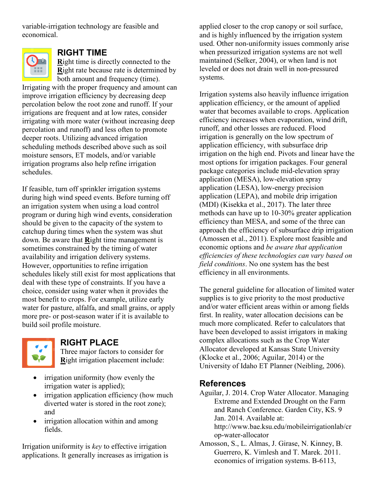variable-irrigation technology are feasible and economical.



## **RIGHT TIME**

**R**ight time is directly connected to the **R**ight rate because rate is determined by both amount and frequency (time).

Irrigating with the proper frequency and amount can improve irrigation efficiency by decreasing deep percolation below the root zone and runoff. If your irrigations are frequent and at low rates, consider irrigating with more water (without increasing deep percolation and runoff) and less often to promote deeper roots. Utilizing advanced irrigation scheduling methods described above such as soil moisture sensors, ET models, and/or variable irrigation programs also help refine irrigation schedules.

If feasible, turn off sprinkler irrigation systems during high wind speed events. Before turning off an irrigation system when using a load control program or during high wind events, consideration should be given to the capacity of the system to catchup during times when the system was shut down. Be aware that **R**ight time management is sometimes constrained by the timing of water availability and irrigation delivery systems. However, opportunities to refine irrigation schedules likely still exist for most applications that deal with these type of constraints. If you have a choice, consider using water when it provides the most benefit to crops. For example, utilize early water for pasture, alfalfa, and small grains, or apply more pre- or post-season water if it is available to build soil profile moisture.



## **RIGHT PLACE**

Three major factors to consider for **R**ight irrigation placement include:

- irrigation uniformity (how evenly the irrigation water is applied);
- irrigation application efficiency (how much diverted water is stored in the root zone); and
- irrigation allocation within and among fields.

Irrigation uniformity is *key* to effective irrigation applications. It generally increases as irrigation is

applied closer to the crop canopy or soil surface, and is highly influenced by the irrigation system used. Other non-uniformity issues commonly arise when pressurized irrigation systems are not well maintained (Selker, 2004), or when land is not leveled or does not drain well in non-pressured systems.

Irrigation systems also heavily influence irrigation application efficiency, or the amount of applied water that becomes available to crops. Application efficiency increases when evaporation, wind drift, runoff, and other losses are reduced. Flood irrigation is generally on the low spectrum of application efficiency, with subsurface drip irrigation on the high end. Pivots and linear have the most options for irrigation packages. Four general package categories include mid-elevation spray application (MESA), low-elevation spray application (LESA), low-energy precision application (LEPA), and mobile drip irrigation (MDI) (Kisekka et al., 2017). The later three methods can have up to 10-30% greater application efficiency than MESA, and some of the three can approach the efficiency of subsurface drip irrigation (Amossen et al., 2011). Explore most feasible and economic options and *be aware that application efficiencies of these technologies can vary based on field conditions*. No one system has the best efficiency in all environments.

The general guideline for allocation of limited water supplies is to give priority to the most productive and/or water efficient areas within or among fields first. In reality, water allocation decisions can be much more complicated. Refer to calculators that have been developed to assist irrigators in making complex allocations such as the Crop Water Allocator developed at Kansas State University (Klocke et al., 2006; Aguilar, 2014) or the University of Idaho ET Planner (Neibling, 2006).

## **References**

Aguilar, J. 2014. Crop Water Allocator. Managing Extreme and Extended Drought on the Farm and Ranch Conference. Garden City, KS. 9 Jan. 2014. Available at: http://www.bae.ksu.edu/mobileirrigationlab/cr op-water-allocator

Amosson, S., L. Almas, J. Girase, N. Kinney, B. Guerrero, K. Vimlesh and T. Marek. 2011. economics of irrigation systems. B-6113,